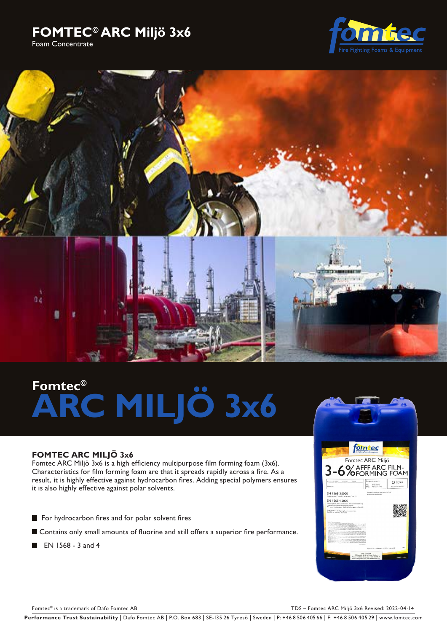# **FOMTEC© ARC Miljö 3x6** Foam Concentrate





# **Fomtec© ARC MILJÖ 3x6**

# **FOMTEC ARC MILJÖ 3x6**

Fomtec ARC Miljö 3x6 is a high efficiency multipurpose film forming foam (3x6). Characteristics for film forming foam are that it spreads rapidly across a fire. As a result, it is highly effective against hydrocarbon fires. Adding special polymers ensures it is also highly effective against polar solvents.

- For hydrocarbon fires and for polar solvent fires
- Contains only small amounts of fluorine and still offers a superior fire performance.
- $\blacksquare$  EN 1568 3 and 4



Fomtec® is a trademark of Dafo Fomtec AB TDS – Fomtec ARC Miljö 3x6 Revised: 2022-04-14

Performance Trust Sustainability | Dafo Fomtec AB | P.O. Box 683 | SE-135 26 Tyresö | Sweden | P: +46 8 506 405 66 | F: +46 8 506 405 29 | www.fomtec.com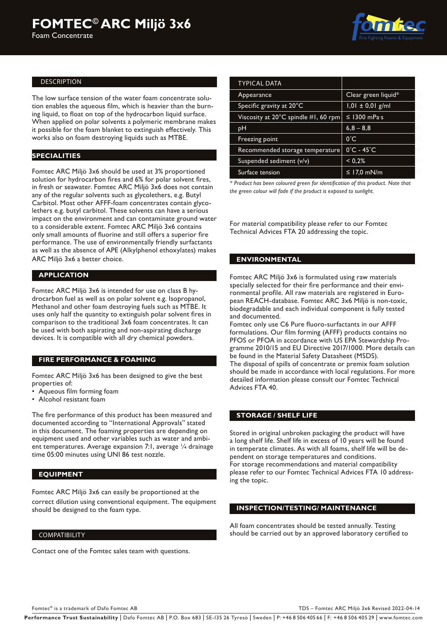

#### DESCRIPTION

The low surface tension of the water foam concentrate solution enables the aqueous film, which is heavier than the burning liquid, to float on top of the hydrocarbon liquid surface. When applied on polar solvents a polymeric membrane makes it possible for the foam blanket to extinguish effectively. This works also on foam destroying liquids such as MTBE.

# **SPECIALITIES**

Fomtec ARC Miljö 3x6 should be used at 3% proportioned solution for hydrocarbon fires and 6% for polar solvent fires, in fresh or seawater. Fomtec ARC Miljö 3x6 does not contain any of the regular solvents such as glycolethers, e.g. Butyl Carbitol. Most other AFFF-foam concentrates contain glycolethers e.g. butyl carbitol. These solvents can have a serious impact on the environment and can contaminate ground water to a considerable extent. Fomtec ARC Miljö 3x6 contains only small amounts of fluorine and still offers a superior fire performance. The use of environmentally friendly surfactants as well as the absence of APE (Alkylphenol ethoxylates) makes ARC Miljö 3x6 a better choice.

# **APPLICATION**

Fomtec ARC Miljö 3x6 is intended for use on class B hydrocarbon fuel as well as on polar solvent e.g. Isopropanol, Methanol and other foam destroying fuels such as MTBE. It uses only half the quantity to extinguish polar solvent fires in comparison to the traditional 3x6 foam concentrates. It can be used with both aspirating and non-aspirating discharge devices. It is compatible with all dry chemical powders.

# **FIRE PERFORMANCE & FOAMING**

Fomtec ARC Miljö 3x6 has been designed to give the best properties of:

- Aqueous film forming foam
- Alcohol resistant foam

The fire performance of this product has been measured and documented according to "International Approvals" stated in this document. The foaming properties are depending on equipment used and other variables such as water and ambient temperatures. Average expansion 7:1, average 1/4 drainage time 05:00 minutes using UNI 86 test nozzle.

# **EQUIPMENT**

Fomtec ARC Miljö 3x6 can easily be proportioned at the correct dilution using conventional equipment. The equipment should be designed to the foam type.

#### COMPATIBILITY

Contact one of the Fomtec sales team with questions.

| <b>TYPICAL DATA</b>                         |                             |  |
|---------------------------------------------|-----------------------------|--|
| Appearance                                  | Clear green liquid*         |  |
| Specific gravity at $20^{\circ}$ C          | $1,01 \pm 0,01$ g/ml        |  |
| Viscosity at 20°C spindle #1, 60 rpm $\mid$ | $\leq$ 1300 mPas            |  |
| рH                                          | $6,8 - 8,8$                 |  |
| Freezing point                              | $0^{\circ}$ C               |  |
| Recommended storage temperature             | $0^\circ$ C - 45 $^\circ$ C |  |
| Suspended sediment (v/v)                    | < 0.2%                      |  |
| Surface tension                             | ≤ 17,0 mN/m                 |  |

*\* Product has been coloured green for identification of this product. Note that the green colour will fade if the product is exposed to sunlight.*

For material compatibility please refer to our Fomtec Technical Advices FTA 20 addressing the topic.

# **ENVIRONMENTAL**

Fomtec ARC Miljö 3x6 is formulated using raw materials specially selected for their fire performance and their environmental profile. All raw materials are registered in European REACH-database. Fomtec ARC 3x6 Miljö is non-toxic, biodegradable and each individual component is fully tested and documented.

Fomtec only use C6 Pure fluoro-surfactants in our AFFF formulations. Our film forming (AFFF) products contains no PFOS or PFOA in accordance with US EPA Stewardship Programme 2010/15 and EU Directive 2017/1000. More details can be found in the Material Safety Datasheet (MSDS). The disposal of spills of concentrate or premix foam solution should be made in accordance with local regulations. For more detailed information please consult our Fomtec Technical Advices FTA 40.

#### **STORAGE / SHELF LIFE**

Stored in original unbroken packaging the product will have a long shelf life. Shelf life in excess of 10 years will be found in temperate climates. As with all foams, shelf life will be dependent on storage temperatures and conditions. For storage recommendations and material compatibility please refer to our Fomtec Technical Advices FTA 10 addressing the topic.

# **INSPECTION/TESTING/ MAINTENANCE**

All foam concentrates should be tested annually. Testing should be carried out by an approved laboratory certified to

Fomtec® is a trademark of Dafo Fomtec AB TDS – Fomtec ARC Miljö 3x6 Revised 2022-04-14

Performance Trust Sustainability | Dafo Fomtec AB | P.O. Box 683 | SE-135 26 Tyresö | Sweden | P: +46 8 506 405 66 | F: +46 8 506 405 29 | www.fomtec.com